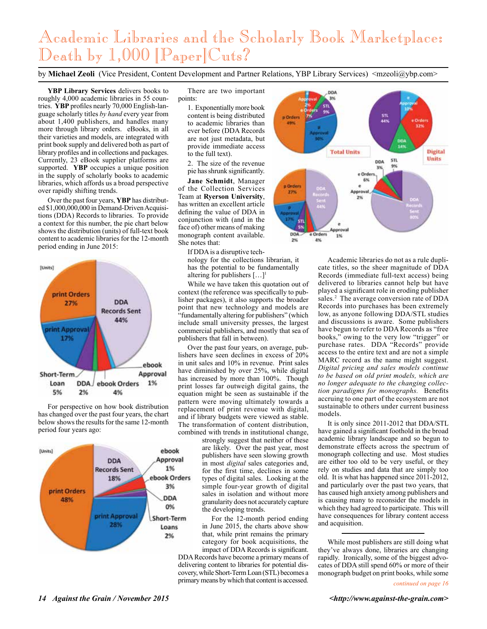## Academic Libraries and the Scholarly Book Marketplace: Death by 1,000 [Paper]Cuts?

by Michael Zeoli (Vice President, Content Development and Partner Relations, YBP Library Services) <mzeoli@ybp.com>

**YBP Library Services** delivers books to roughly 4,000 academic libraries in 55 countries. **YBP** profiles nearly 70,000 English-language scholarly titles *by hand* every year from about 1,400 publishers, and handles many more through library orders. eBooks, in all their varieties and models, are integrated with print book supply and delivered both as part of library profiles and in collections and packages. Currently, 23 eBook supplier platforms are supported. **YBP** occupies a unique position in the supply of scholarly books to academic libraries, which affords us a broad perspective over rapidly shifting trends.

Over the past four years, **YBP** has distributed \$1,000,000,000 in Demand-Driven Acquisitions (DDA) Records to libraries. To provide a context for this number, the pie chart below shows the distribution (units) of full-text book content to academic libraries for the 12-month period ending in June 2015:



For perspective on how book distribution has changed over the past four years, the chart below shows the results for the same 12-month period four years ago:



There are two important points:

> 1. Exponentially more book content is being distributed to academic libraries than ever before (DDA Records are not just metadata, but provide immediate access to the full text).

2. The size of the revenue pie has shrunk significantly.

**Jane Schmidt**, Manager of the Collection Services Team at **Ryerson University**, has written an excellent article defining the value of DDA in conjunction with (and in the face of) other means of making monograph content available. She notes that:

> If DDA is a disruptive technology for the collections librarian, it has the potential to be fundamentally

altering for publishers […]1 While we have taken this quotation out of context (the reference was specifically to publisher packages), it also supports the broader point that new technology and models are "fundamentally altering for publishers" (which include small university presses, the largest commercial publishers, and mostly that sea of publishers that fall in between).

Over the past four years, on average, publishers have seen declines in excess of 20% in unit sales and 10% in revenue. Print sales have diminished by over 25%, while digital has increased by more than 100%. Though print losses far outweigh digital gains, the equation might be seen as sustainable if the pattern were moving ultimately towards a replacement of print revenue with digital, and if library budgets were viewed as stable. The transformation of content distribution, combined with trends in institutional change,

> strongly suggest that neither of these are likely. Over the past year, most publishers have seen slowing growth in most *digital* sales categories and, for the first time, declines in some types of digital sales. Looking at the simple four-year growth of digital sales in isolation and without more granularity does not accurately capture the developing trends.

> For the 12-month period ending in June 2015, the charts above show that, while print remains the primary category for book acquisitions, the impact of DDA Records is significant.

DDA Records have become a primary means of delivering content to libraries for potential discovery, while Short-Term Loan (STL) becomes a primary means by which that content is accessed.



Academic libraries do not as a rule duplicate titles, so the sheer magnitude of DDA Records (immediate full-text access) being delivered to libraries cannot help but have played a significant role in eroding publisher sales.<sup>2</sup> The average conversion rate of DDA Records into purchases has been extremely low, as anyone following DDA/STL studies and discussions is aware. Some publishers have begun to refer to DDA Records as "free books," owing to the very low "trigger" or purchase rates. DDA "Records" provide access to the entire text and are not a simple MARC record as the name might suggest. *Digital pricing and sales models continue to be based on old print models, which are no longer adequate to the changing collection paradigms for monographs.* Benefits accruing to one part of the ecosystem are not sustainable to others under current business models.

It is only since 2011-2012 that DDA/STL have gained a significant foothold in the broad academic library landscape and so begun to demonstrate effects across the spectrum of monograph collecting and use. Most studies are either too old to be very useful, or they rely on studies and data that are simply too old. It is what has happened since 2011-2012, and particularly over the past two years, that has caused high anxiety among publishers and is causing many to reconsider the models in which they had agreed to participate. This will have consequences for library content access and acquisition.

While most publishers are still doing what they've always done, libraries are changing rapidly. Ironically, some of the biggest advocates of DDA still spend 60% or more of their monograph budget on print books, while some

*continued on page 16*